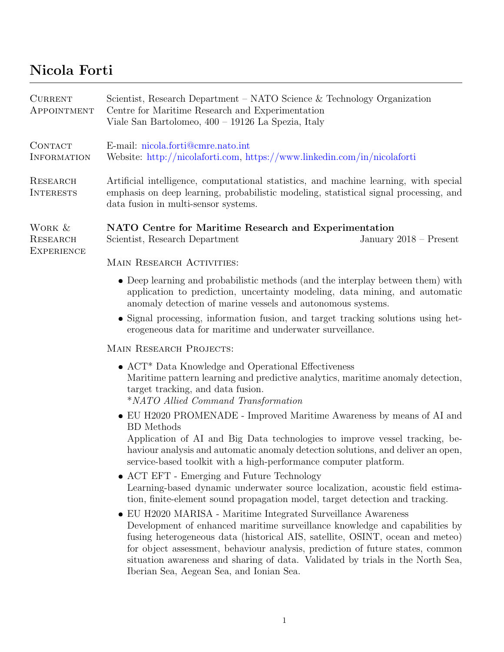## Nicola Forti

| <b>CURRENT</b><br>APPOINTMENT           | Scientist, Research Department – NATO Science & Technology Organization<br>Centre for Maritime Research and Experimentation<br>Viale San Bartolomeo, 400 – 19126 La Spezia, Italy                                                                                                                                                                                                                                                              |  |
|-----------------------------------------|------------------------------------------------------------------------------------------------------------------------------------------------------------------------------------------------------------------------------------------------------------------------------------------------------------------------------------------------------------------------------------------------------------------------------------------------|--|
| <b>CONTACT</b><br>INFORMATION           | E-mail: nicola.forti@cmre.nato.int<br>Website: http://nicolaforti.com, https://www.linkedin.com/in/nicolaforti                                                                                                                                                                                                                                                                                                                                 |  |
| <b>RESEARCH</b><br><b>INTERESTS</b>     | Artificial intelligence, computational statistics, and machine learning, with special<br>emphasis on deep learning, probabilistic modeling, statistical signal processing, and<br>data fusion in multi-sensor systems.                                                                                                                                                                                                                         |  |
| WORK &<br>RESEARCH<br><b>EXPERIENCE</b> | NATO Centre for Maritime Research and Experimentation<br>Scientist, Research Department<br>January $2018$ – Present                                                                                                                                                                                                                                                                                                                            |  |
|                                         | MAIN RESEARCH ACTIVITIES:                                                                                                                                                                                                                                                                                                                                                                                                                      |  |
|                                         | • Deep learning and probabilistic methods (and the interplay between them) with<br>application to prediction, uncertainty modeling, data mining, and automatic<br>anomaly detection of marine vessels and autonomous systems.                                                                                                                                                                                                                  |  |
|                                         | • Signal processing, information fusion, and target tracking solutions using het-<br>erogeneous data for maritime and underwater surveillance.                                                                                                                                                                                                                                                                                                 |  |
|                                         | MAIN RESEARCH PROJECTS:                                                                                                                                                                                                                                                                                                                                                                                                                        |  |
|                                         | $\bullet$ ACT <sup>*</sup> Data Knowledge and Operational Effectiveness<br>Maritime pattern learning and predictive analytics, maritime anomaly detection,<br>target tracking, and data fusion.<br><i>*NATO Allied Command Transformation</i>                                                                                                                                                                                                  |  |
|                                         | • EU H2020 PROMENADE - Improved Maritime Awareness by means of AI and                                                                                                                                                                                                                                                                                                                                                                          |  |
|                                         | <b>BD</b> Methods<br>Application of AI and Big Data technologies to improve vessel tracking, be-<br>haviour analysis and automatic anomaly detection solutions, and deliver an open,<br>service-based toolkit with a high-performance computer platform.                                                                                                                                                                                       |  |
|                                         | • ACT EFT - Emerging and Future Technology<br>Learning-based dynamic underwater source localization, acoustic field estima-<br>tion, finite-element sound propagation model, target detection and tracking.                                                                                                                                                                                                                                    |  |
|                                         | • EU H2020 MARISA - Maritime Integrated Surveillance Awareness<br>Development of enhanced maritime surveillance knowledge and capabilities by<br>fusing heterogeneous data (historical AIS, satellite, OSINT, ocean and meteo)<br>for object assessment, behaviour analysis, prediction of future states, common<br>situation awareness and sharing of data. Validated by trials in the North Sea,<br>Iberian Sea, Aegean Sea, and Ionian Sea. |  |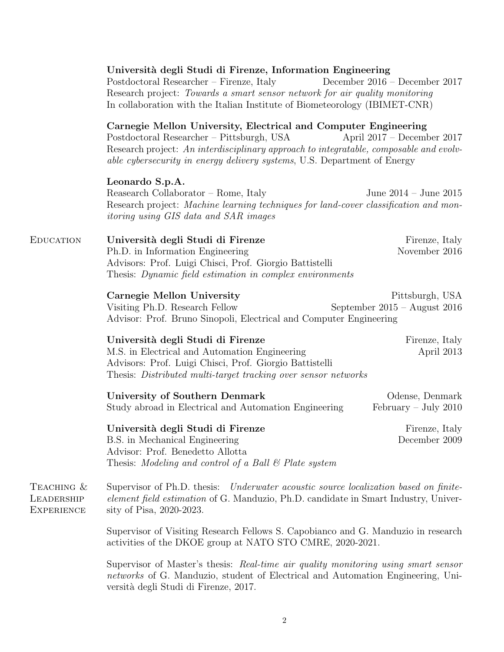|                                               | Università degli Studi di Firenze, Information Engineering<br>Postdoctoral Researcher – Firenze, Italy<br>Research project: Towards a smart sensor network for air quality monitoring<br>In collaboration with the Italian Institute of Biometeorology (IBIMET-CNR)                       | December $2016$ – December 2017                   |  |
|-----------------------------------------------|-------------------------------------------------------------------------------------------------------------------------------------------------------------------------------------------------------------------------------------------------------------------------------------------|---------------------------------------------------|--|
|                                               | Carnegie Mellon University, Electrical and Computer Engineering<br>Postdoctoral Researcher – Pittsburgh, USA<br>Research project: An interdisciplinary approach to integratable, composable and evolv-<br><i>able cybersecurity in energy delivery systems, U.S. Department of Energy</i> | April $2017 - December 2017$                      |  |
|                                               | Leonardo S.p.A.<br>Reasearch Collaborator – Rome, Italy<br>Research project: Machine learning techniques for land-cover classification and mon-<br><i>itoring using GIS data and SAR images</i>                                                                                           | June $2014 -$ June $2015$                         |  |
| <b>EDUCATION</b>                              | Università degli Studi di Firenze<br>Ph.D. in Information Engineering<br>Advisors: Prof. Luigi Chisci, Prof. Giorgio Battistelli<br>Thesis: Dynamic field estimation in complex environments                                                                                              | Firenze, Italy<br>November 2016                   |  |
|                                               | Carnegie Mellon University<br>Visiting Ph.D. Research Fellow<br>Advisor: Prof. Bruno Sinopoli, Electrical and Computer Engineering                                                                                                                                                        | Pittsburgh, USA<br>September $2015 -$ August 2016 |  |
|                                               | Università degli Studi di Firenze<br>M.S. in Electrical and Automation Engineering<br>Advisors: Prof. Luigi Chisci, Prof. Giorgio Battistelli<br>Thesis: Distributed multi-target tracking over sensor networks                                                                           | Firenze, Italy<br>April 2013                      |  |
|                                               | University of Southern Denmark<br>Study abroad in Electrical and Automation Engineering                                                                                                                                                                                                   | Odense, Denmark<br>February – July 2010           |  |
|                                               | Università degli Studi di Firenze<br>B.S. in Mechanical Engineering<br>Advisor: Prof. Benedetto Allotta<br>Thesis: Modeling and control of a Ball $\mathcal B$ Plate system                                                                                                               | Firenze, Italy<br>December 2009                   |  |
| TEACHING &<br>LEADERSHIP<br><b>EXPERIENCE</b> | Supervisor of Ph.D. thesis: Underwater acoustic source localization based on finite-<br>element field estimation of G. Manduzio, Ph.D. candidate in Smart Industry, Univer-<br>sity of Pisa, 2020-2023.                                                                                   |                                                   |  |
|                                               | Supervisor of Visiting Research Fellows S. Capobianco and G. Manduzio in research<br>activities of the DKOE group at NATO STO CMRE, 2020-2021.                                                                                                                                            |                                                   |  |
|                                               | Supervisor of Master's thesis: Real-time air quality monitoring using smart sensor<br>networks of G. Manduzio, student of Electrical and Automation Engineering, Uni-                                                                                                                     |                                                   |  |

versità degli Studi di Firenze, 2017.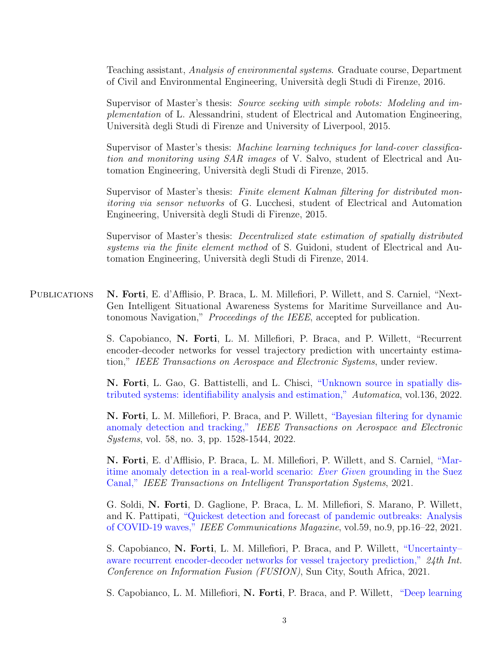Teaching assistant, Analysis of environmental systems. Graduate course, Department of Civil and Environmental Engineering, Universit`a degli Studi di Firenze, 2016.

Supervisor of Master's thesis: Source seeking with simple robots: Modeling and implementation of L. Alessandrini, student of Electrical and Automation Engineering, Università degli Studi di Firenze and University of Liverpool, 2015.

Supervisor of Master's thesis: Machine learning techniques for land-cover classification and monitoring using SAR images of V. Salvo, student of Electrical and Automation Engineering, Universit`a degli Studi di Firenze, 2015.

Supervisor of Master's thesis: Finite element Kalman filtering for distributed monitoring via sensor networks of G. Lucchesi, student of Electrical and Automation Engineering, Universit`a degli Studi di Firenze, 2015.

Supervisor of Master's thesis: Decentralized state estimation of spatially distributed systems via the finite element method of S. Guidoni, student of Electrical and Automation Engineering, Universit`a degli Studi di Firenze, 2014.

PUBLICATIONS N. Forti, E. d'Afflisio, P. Braca, L. M. Millefiori, P. Willett, and S. Carniel, "Next-Gen Intelligent Situational Awareness Systems for Maritime Surveillance and Autonomous Navigation," Proceedings of the IEEE, accepted for publication.

> S. Capobianco, N. Forti, L. M. Millefiori, P. Braca, and P. Willett, "Recurrent encoder-decoder networks for vessel trajectory prediction with uncertainty estimation," IEEE Transactions on Aerospace and Electronic Systems, under review.

> N. Forti, L. Gao, G. Battistelli, and L. Chisci, ["Unknown source in spatially dis](https://doi.org/10.1016/j.automatica.2021.110025)[tributed systems: identifiability analysis and estimation,"](https://doi.org/10.1016/j.automatica.2021.110025) Automatica, vol.136, 2022.

> N. Forti, L. M. Millefiori, P. Braca, and P. Willett, ["Bayesian filtering for dynamic](https://doi.org/10.1109/TAES.2021.3122888) [anomaly detection and tracking,"](https://doi.org/10.1109/TAES.2021.3122888) IEEE Transactions on Aerospace and Electronic Systems, vol. 58, no. 3, pp. 1528-1544, 2022.

> N. Forti, E. d'Afflisio, P. Braca, L. M. Millefiori, P. Willett, and S. Carniel, ["Mar](https://doi.org/10.1109/TITS.2021.3123890)[itime anomaly detection in a real-world scenario:](https://doi.org/10.1109/TITS.2021.3123890) Ever Given grounding in the Suez [Canal,"](https://doi.org/10.1109/TITS.2021.3123890) IEEE Transactions on Intelligent Transportation Systems, 2021.

> G. Soldi, N. Forti, D. Gaglione, P. Braca, L. M. Millefiori, S. Marano, P. Willett, and K. Pattipati, ["Quickest detection and forecast of pandemic outbreaks: Analysis](https://doi.org/10.1109/MCOM.101.2001252) [of COVID-19 waves,"](https://doi.org/10.1109/MCOM.101.2001252) IEEE Communications Magazine, vol.59, no.9, pp.16–22, 2021.

> S. Capobianco, N. Forti, L. M. Millefiori, P. Braca, and P. Willett, ["Uncertainty–](https://ieeexplore.ieee.org/document/9626839) [aware recurrent encoder-decoder networks for vessel trajectory prediction,"](https://ieeexplore.ieee.org/document/9626839) 24th Int. Conference on Information Fusion (FUSION), Sun City, South Africa, 2021.

> S. Capobianco, L. M. Millefiori, N. Forti, P. Braca, and P. Willett, ["Deep learning](https://doi.org/10.1109/TAES.2021.3096873)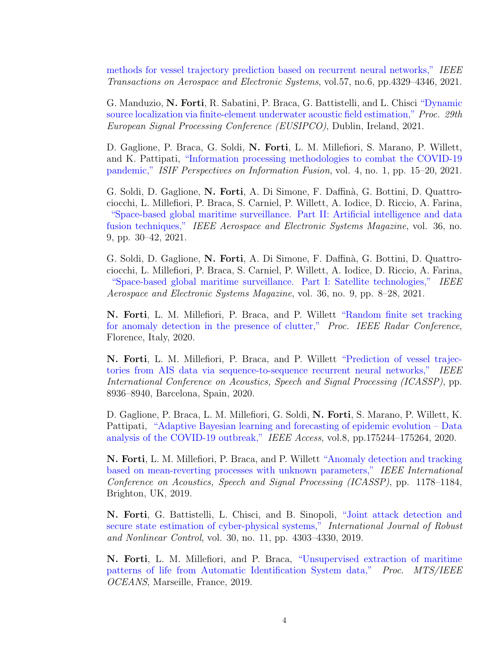[methods for vessel trajectory prediction based on recurrent neural networks,"](https://doi.org/10.1109/TAES.2021.3096873) IEEE Transactions on Aerospace and Electronic Systems, vol.57, no.6, pp.4329–4346, 2021.

G. Manduzio, N. Forti, R. Sabatini, P. Braca, G. Battistelli, and L. Chisci ["Dynamic](https://doi.org/10.23919/EUSIPCO54536.2021.9616320) [source localization via finite-element underwater acoustic field estimation,"](https://doi.org/10.23919/EUSIPCO54536.2021.9616320) Proc. 29th European Signal Processing Conference (EUSIPCO), Dublin, Ireland, 2021.

D. Gaglione, P. Braca, G. Soldi, N. Forti, L. M. Millefiori, S. Marano, P. Willett, and K. Pattipati, ["Information processing methodologies to combat the COVID-19](https://isif.org/perspectives/4/1) [pandemic,"](https://isif.org/perspectives/4/1) ISIF Perspectives on Information Fusion, vol. 4, no. 1, pp. 15–20, 2021.

G. Soldi, D. Gaglione, N. Forti, A. Di Simone, F. Daffin`a, G. Bottini, D. Quattrociocchi, L. Millefiori, P. Braca, S. Carniel, P. Willett, A. Iodice, D. Riccio, A. Farina, ["Space-based global maritime surveillance. Part II: Artificial intelligence and data](https://doi.org/10.1109/MAES.2021.3070884) [fusion techniques,"](https://doi.org/10.1109/MAES.2021.3070884) IEEE Aerospace and Electronic Systems Magazine, vol. 36, no. 9, pp. 30–42, 2021.

G. Soldi, D. Gaglione, N. Forti, A. Di Simone, F. Daffin`a, G. Bottini, D. Quattrociocchi, L. Millefiori, P. Braca, S. Carniel, P. Willett, A. Iodice, D. Riccio, A. Farina, ["Space-based global maritime surveillance. Part I: Satellite technologies,"](https://doi.org/10.1109/MAES.2021.3070862) IEEE Aerospace and Electronic Systems Magazine, vol. 36, no. 9, pp. 8–28, 2021.

N. Forti, L. M. Millefiori, P. Braca, and P. Willett ["Random finite set tracking](https://doi.org/10.1109/RadarConf2043947.2020.9266705) [for anomaly detection in the presence of clutter,"](https://doi.org/10.1109/RadarConf2043947.2020.9266705) Proc. IEEE Radar Conference, Florence, Italy, 2020.

N. Forti, L. M. Millefiori, P. Braca, and P. Willett ["Prediction of vessel trajec](https://doi.org/10.1109/ICASSP40776.2020.9054421)[tories from AIS data via sequence-to-sequence recurrent neural networks,"](https://doi.org/10.1109/ICASSP40776.2020.9054421) IEEE International Conference on Acoustics, Speech and Signal Processing (ICASSP), pp. 8936–8940, Barcelona, Spain, 2020.

D. Gaglione, P. Braca, L. M. Millefiori, G. Soldi, N. Forti, S. Marano, P. Willett, K. Pattipati, ["Adaptive Bayesian learning and forecasting of epidemic evolution – Data](https://doi.org/10.1109/ACCESS.2020.3019922) [analysis of the COVID-19 outbreak,"](https://doi.org/10.1109/ACCESS.2020.3019922) IEEE Access, vol.8, pp.175244–175264, 2020.

N. Forti, L. M. Millefiori, P. Braca, and P. Willett ["Anomaly detection and tracking](https://doi.org/10.1109/ICASSP.2019.8683428) [based on mean-reverting processes with unknown parameters,"](https://doi.org/10.1109/ICASSP.2019.8683428) IEEE International Conference on Acoustics, Speech and Signal Processing (ICASSP), pp. 1178–1184, Brighton, UK, 2019.

N. Forti, G. Battistelli, L. Chisci, and B. Sinopoli, ["Joint attack detection and](https://doi.org/10.1002/rnc.4724) [secure state estimation of cyber-physical systems,"](https://doi.org/10.1002/rnc.4724) International Journal of Robust and Nonlinear Control, vol. 30, no. 11, pp. 4303–4330, 2019.

N. Forti, L. M. Millefiori, and P. Braca, ["Unsupervised extraction of maritime](10.1109/OCEANSE.2019.8867429) [patterns of life from Automatic Identification System data,"](10.1109/OCEANSE.2019.8867429) Proc. MTS/IEEE OCEANS, Marseille, France, 2019.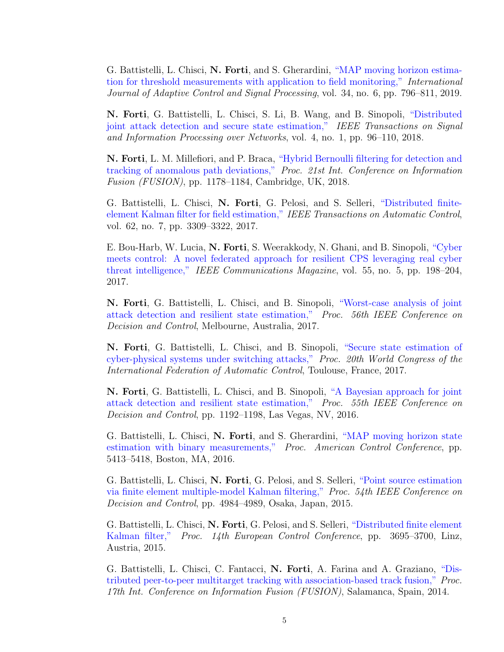G. Battistelli, L. Chisci, N. Forti, and S. Gherardini, ["MAP moving horizon estima](https://doi.org/10.1002/acs.3049)[tion for threshold measurements with application to field monitoring,"](https://doi.org/10.1002/acs.3049) International Journal of Adaptive Control and Signal Processing, vol. 34, no. 6, pp. 796–811, 2019.

N. Forti, G. Battistelli, L. Chisci, S. Li, B. Wang, and B. Sinopoli, ["Distributed](https://doi.org/10.1109/TSIPN.2017.2760804) [joint attack detection and secure state estimation,"](https://doi.org/10.1109/TSIPN.2017.2760804) IEEE Transactions on Signal and Information Processing over Networks, vol. 4, no. 1, pp. 96–110, 2018.

N. Forti, L. M. Millefiori, and P. Braca, ["Hybrid Bernoulli filtering for detection and](https://doi.org/10.23919/ICIF.2018.8455567) [tracking of anomalous path deviations,"](https://doi.org/10.23919/ICIF.2018.8455567) Proc. 21st Int. Conference on Information Fusion (FUSION), pp. 1178–1184, Cambridge, UK, 2018.

G. Battistelli, L. Chisci, N. Forti, G. Pelosi, and S. Selleri, ["Distributed finite](http://dx.doi.org/10.1109/TAC.2016.2636659)[element Kalman filter for field estimation,"](http://dx.doi.org/10.1109/TAC.2016.2636659) IEEE Transactions on Automatic Control, vol. 62, no. 7, pp. 3309–3322, 2017.

E. Bou-Harb, W. Lucia, N. Forti, S. Weerakkody, N. Ghani, and B. Sinopoli, ["Cyber](http://dx.doi.org/10.1109/MCOM.2017.1600292CM) [meets control: A novel federated approach for resilient CPS leveraging real cyber](http://dx.doi.org/10.1109/MCOM.2017.1600292CM) [threat intelligence,"](http://dx.doi.org/10.1109/MCOM.2017.1600292CM) IEEE Communications Magazine, vol. 55, no. 5, pp. 198–204, 2017.

N. Forti, G. Battistelli, L. Chisci, and B. Sinopoli, ["Worst-case analysis of joint](https://doi.org/10.1109/CDC.2017.8263663) [attack detection and resilient state estimation,"](https://doi.org/10.1109/CDC.2017.8263663) Proc. 56th IEEE Conference on Decision and Control, Melbourne, Australia, 2017.

N. Forti, G. Battistelli, L. Chisci, and B. Sinopoli, ["Secure state estimation of](https://doi.org/10.1016/j.ifacol.2017.08.765) [cyber-physical systems under switching attacks,"](https://doi.org/10.1016/j.ifacol.2017.08.765) Proc. 20th World Congress of the International Federation of Automatic Control, Toulouse, France, 2017.

N. Forti, G. Battistelli, L. Chisci, and B. Sinopoli, ["A Bayesian approach for joint](http://dx.doi.org/10.1109/CDC.2016.7798428) [attack detection and resilient state estimation,"](http://dx.doi.org/10.1109/CDC.2016.7798428) Proc. 55th IEEE Conference on Decision and Control, pp. 1192–1198, Las Vegas, NV, 2016.

G. Battistelli, L. Chisci, N. Forti, and S. Gherardini, ["MAP moving horizon state](http://dx.doi.org/10.1109/ACC.2016.7526518) [estimation with binary measurements,"](http://dx.doi.org/10.1109/ACC.2016.7526518) Proc. American Control Conference, pp. 5413–5418, Boston, MA, 2016.

G. Battistelli, L. Chisci, N. Forti, G. Pelosi, and S. Selleri, ["Point source estimation](http://dx.doi.org/10.1109/CDC.2015.7402998) [via finite element multiple-model Kalman filtering,"](http://dx.doi.org/10.1109/CDC.2015.7402998) Proc. 54th IEEE Conference on Decision and Control, pp. 4984–4989, Osaka, Japan, 2015.

G. Battistelli, L. Chisci, N. Forti, G. Pelosi, and S. Selleri, ["Distributed finite element](http://dx.doi.org/10.1109/ECC.2015.7331104) [Kalman filter,"](http://dx.doi.org/10.1109/ECC.2015.7331104) Proc. 14th European Control Conference, pp. 3695–3700, Linz, Austria, 2015.

G. Battistelli, L. Chisci, C. Fantacci, N. Forti, A. Farina and A. Graziano, ["Dis](http://ieeexplore.ieee.org/stamp/stamp.jsp?tp=&arnumber=6916247&isnumber=6915967)[tributed peer-to-peer multitarget tracking with association-based track fusion,"](http://ieeexplore.ieee.org/stamp/stamp.jsp?tp=&arnumber=6916247&isnumber=6915967) Proc. 17th Int. Conference on Information Fusion (FUSION), Salamanca, Spain, 2014.